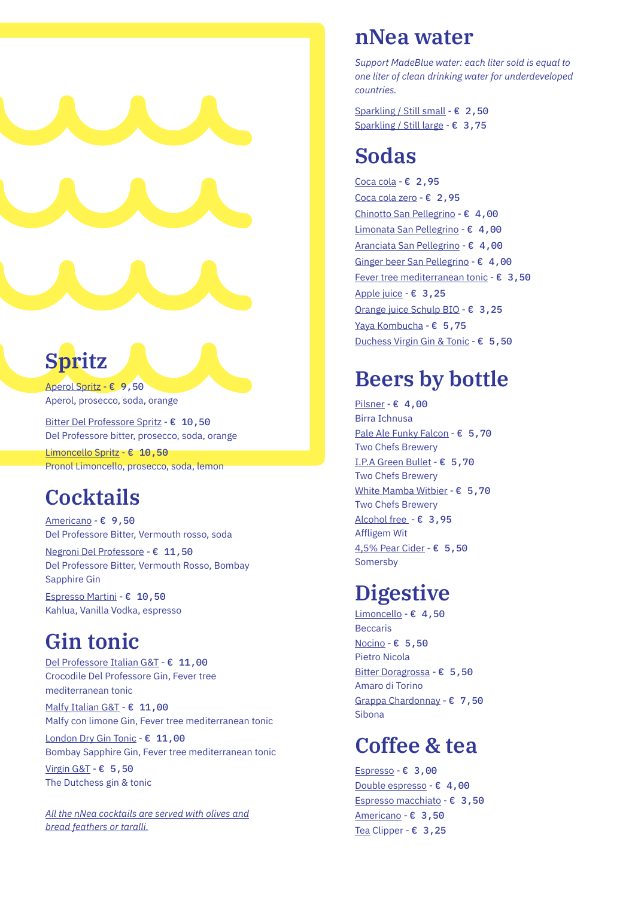# **Spritz**

Aperol Spritz - € 9,50 Aperol, prosecco, soda, orange

Bitter Del Professore Spritz - € 10,50 Del Professore bitter, prosecco, soda, orange

Limoncello Spritz - € 10,50 Pronol Limoncello, prosecco, soda, lemon

### **Cocktails**

Americano - € 9,50 Del Professore Bitter, Vermouth rosso, soda

Negroni Del Professore - € 11,50 Del Professore Bitter, Vermouth Rosso, Bombay Sapphire Gin

Espresso Martini - € 10,50 Kahlua, Vanilla Vodka, espresso

### **Gin tonic**

Del Professore Italian G&T - € 11,00 Crocodile Del Professore Gin, Fever tree mediterranean tonic

Malfy Italian G&T - € 11,00 Malfy con limone Gin, Fever tree mediterranean tonic

London Dry Gin Tonic - € 11,00 Bombay Sapphire Gin, Fever tree mediterranean tonic

Virgin G&T - € 5,50 The Dutchess gin & tonic

*All the nNea cocktails are served with olives and bread feathers or taralli.*

### **nNea water**

*Support MadeBlue water: each liter sold is equal to one liter of clean drinking water for underdeveloped countries.*

Sparkling / Still small - € 2,50 Sparkling / Still large - € 3,75

### **Sodas**

Coca cola - € 2,95 Coca cola zero - € 2,95 Chinotto San Pellegrino - € 4,00 Limonata San Pellegrino - € 4,00 Aranciata San Pellegrino - € 4,00 Ginger beer San Pellegrino - € 4,00 Fever tree mediterranean tonic -  $\varepsilon$  3,50 Apple juice - € 3,25 Orange juice Schulp BIO - € 3,25 Yaya Kombucha - € 5,75 Duchess Virgin Gin & Tonic - € 5,50

### **Beers by bottle**

Pilsner - € 4,00 Birra Ichnusa Pale Ale Funky Falcon - € 5,70 Two Chefs Brewery I.P.A Green Bullet - € 5,70 Two Chefs Brewery White Mamba Witbier - € 5,70 Two Chefs Brewery Alcohol free - € 3,95 Affligem Wit 4,5% Pear Cider - € 5,50 Somersby

# **Digestive**

Limoncello - € 4,50 Beccaris Nocino - € 5,50 Pietro Nicola Bitter Doragrossa - € 5,50 Amaro di Torino Grappa Chardonnay - € 7,50 Sibona

### **Coffee & tea**

Espresso - € 3,00 Double espresso - € 4,00 Espresso macchiato - € 3,50 Americano - € 3,50 Tea Clipper - € 3,25